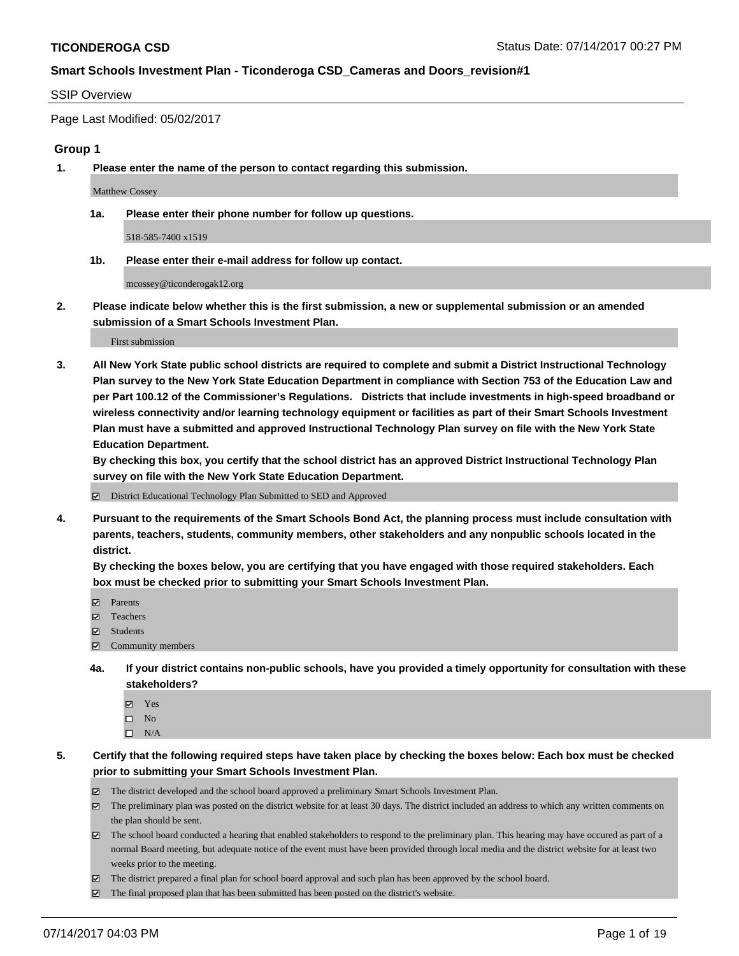#### SSIP Overview

Page Last Modified: 05/02/2017

#### **Group 1**

**1. Please enter the name of the person to contact regarding this submission.**

Matthew Cossey

**1a. Please enter their phone number for follow up questions.**

518-585-7400 x1519

**1b. Please enter their e-mail address for follow up contact.**

mcossey@ticonderogak12.org

**2. Please indicate below whether this is the first submission, a new or supplemental submission or an amended submission of a Smart Schools Investment Plan.**

First submission

**3. All New York State public school districts are required to complete and submit a District Instructional Technology Plan survey to the New York State Education Department in compliance with Section 753 of the Education Law and per Part 100.12 of the Commissioner's Regulations. Districts that include investments in high-speed broadband or wireless connectivity and/or learning technology equipment or facilities as part of their Smart Schools Investment Plan must have a submitted and approved Instructional Technology Plan survey on file with the New York State Education Department.** 

**By checking this box, you certify that the school district has an approved District Instructional Technology Plan survey on file with the New York State Education Department.**

District Educational Technology Plan Submitted to SED and Approved

**4. Pursuant to the requirements of the Smart Schools Bond Act, the planning process must include consultation with parents, teachers, students, community members, other stakeholders and any nonpublic schools located in the district.** 

**By checking the boxes below, you are certifying that you have engaged with those required stakeholders. Each box must be checked prior to submitting your Smart Schools Investment Plan.**

- **マ** Parents
- **□** Teachers
- Students
- $\Xi$  Community members
- **4a. If your district contains non-public schools, have you provided a timely opportunity for consultation with these stakeholders?**
	- Yes
	- $\hfill \square$  No
	- $\square$  N/A
- **5. Certify that the following required steps have taken place by checking the boxes below: Each box must be checked prior to submitting your Smart Schools Investment Plan.**
	- The district developed and the school board approved a preliminary Smart Schools Investment Plan.
	- $\boxtimes$  The preliminary plan was posted on the district website for at least 30 days. The district included an address to which any written comments on the plan should be sent.
	- $\boxtimes$  The school board conducted a hearing that enabled stakeholders to respond to the preliminary plan. This hearing may have occured as part of a normal Board meeting, but adequate notice of the event must have been provided through local media and the district website for at least two weeks prior to the meeting.
	- The district prepared a final plan for school board approval and such plan has been approved by the school board.
	- $\boxtimes$  The final proposed plan that has been submitted has been posted on the district's website.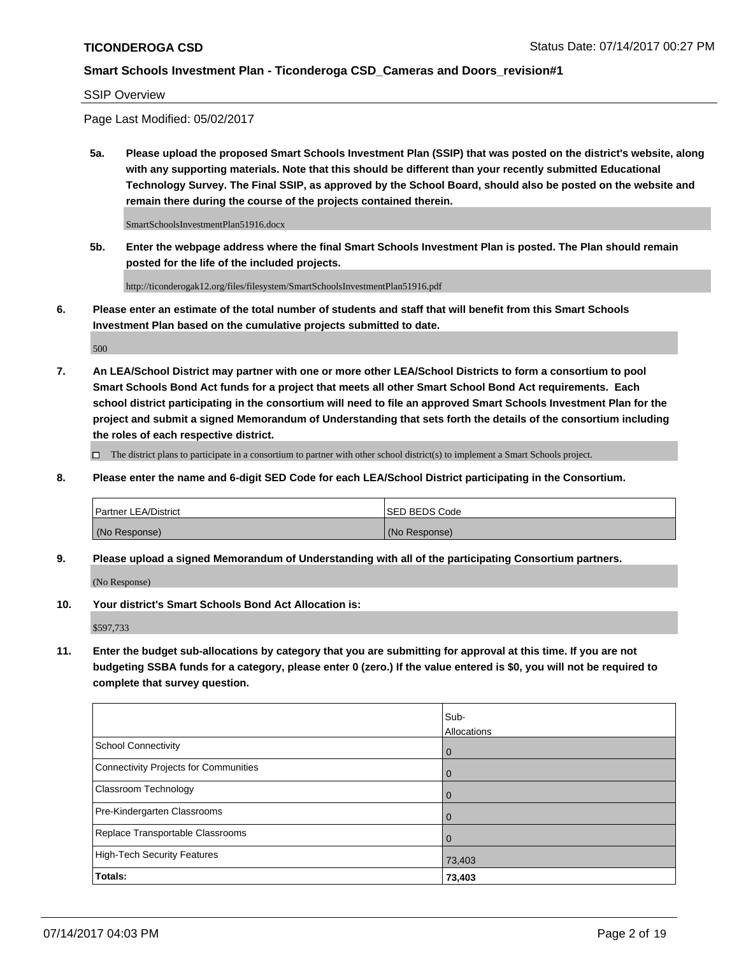#### SSIP Overview

Page Last Modified: 05/02/2017

**5a. Please upload the proposed Smart Schools Investment Plan (SSIP) that was posted on the district's website, along with any supporting materials. Note that this should be different than your recently submitted Educational Technology Survey. The Final SSIP, as approved by the School Board, should also be posted on the website and remain there during the course of the projects contained therein.**

SmartSchoolsInvestmentPlan51916.docx

**5b. Enter the webpage address where the final Smart Schools Investment Plan is posted. The Plan should remain posted for the life of the included projects.**

http://ticonderogak12.org/files/filesystem/SmartSchoolsInvestmentPlan51916.pdf

**6. Please enter an estimate of the total number of students and staff that will benefit from this Smart Schools Investment Plan based on the cumulative projects submitted to date.**

500

**7. An LEA/School District may partner with one or more other LEA/School Districts to form a consortium to pool Smart Schools Bond Act funds for a project that meets all other Smart School Bond Act requirements. Each school district participating in the consortium will need to file an approved Smart Schools Investment Plan for the project and submit a signed Memorandum of Understanding that sets forth the details of the consortium including the roles of each respective district.**

 $\Box$  The district plans to participate in a consortium to partner with other school district(s) to implement a Smart Schools project.

**8. Please enter the name and 6-digit SED Code for each LEA/School District participating in the Consortium.**

| <b>Partner LEA/District</b> | <b>ISED BEDS Code</b> |
|-----------------------------|-----------------------|
| (No Response)               | (No Response)         |

**9. Please upload a signed Memorandum of Understanding with all of the participating Consortium partners.**

(No Response)

**10. Your district's Smart Schools Bond Act Allocation is:**

\$597,733

**11. Enter the budget sub-allocations by category that you are submitting for approval at this time. If you are not budgeting SSBA funds for a category, please enter 0 (zero.) If the value entered is \$0, you will not be required to complete that survey question.**

|                                              | Sub-<br>Allocations |
|----------------------------------------------|---------------------|
| <b>School Connectivity</b>                   |                     |
|                                              | $\overline{0}$      |
| <b>Connectivity Projects for Communities</b> | 0                   |
| Classroom Technology                         | 0                   |
| Pre-Kindergarten Classrooms                  | $\mathbf 0$         |
| Replace Transportable Classrooms             | $\Omega$            |
| <b>High-Tech Security Features</b>           | 73,403              |
| Totals:                                      | 73,403              |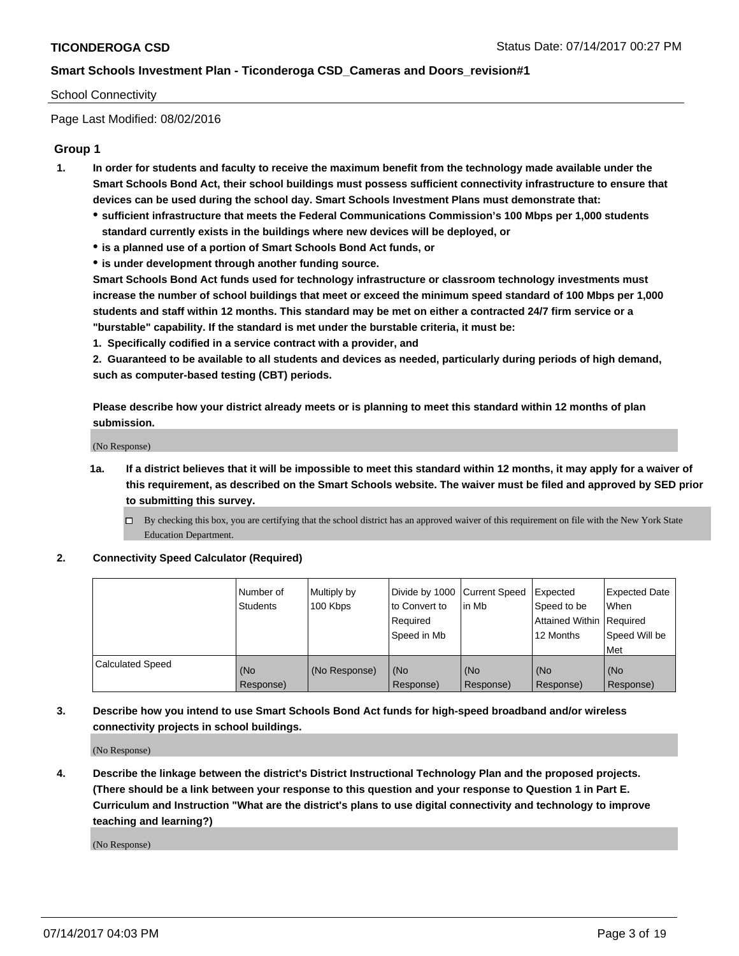#### School Connectivity

Page Last Modified: 08/02/2016

#### **Group 1**

- **1. In order for students and faculty to receive the maximum benefit from the technology made available under the Smart Schools Bond Act, their school buildings must possess sufficient connectivity infrastructure to ensure that devices can be used during the school day. Smart Schools Investment Plans must demonstrate that:**
	- **sufficient infrastructure that meets the Federal Communications Commission's 100 Mbps per 1,000 students standard currently exists in the buildings where new devices will be deployed, or**
	- **is a planned use of a portion of Smart Schools Bond Act funds, or**
	- **is under development through another funding source.**

**Smart Schools Bond Act funds used for technology infrastructure or classroom technology investments must increase the number of school buildings that meet or exceed the minimum speed standard of 100 Mbps per 1,000 students and staff within 12 months. This standard may be met on either a contracted 24/7 firm service or a "burstable" capability. If the standard is met under the burstable criteria, it must be:**

**1. Specifically codified in a service contract with a provider, and**

**2. Guaranteed to be available to all students and devices as needed, particularly during periods of high demand, such as computer-based testing (CBT) periods.**

**Please describe how your district already meets or is planning to meet this standard within 12 months of plan submission.**

(No Response)

- **1a. If a district believes that it will be impossible to meet this standard within 12 months, it may apply for a waiver of this requirement, as described on the Smart Schools website. The waiver must be filed and approved by SED prior to submitting this survey.**
	- By checking this box, you are certifying that the school district has an approved waiver of this requirement on file with the New York State Education Department.

#### **2. Connectivity Speed Calculator (Required)**

|                         | Number of<br><b>Students</b> | Multiply by<br>100 Kbps | Divide by 1000 Current Speed<br>to Convert to<br>Required<br>Speed in Mb | l in Mb          | Expected<br>Speed to be<br>Attained Within Required<br>12 Months | Expected Date<br>When<br>Speed Will be<br>Met |
|-------------------------|------------------------------|-------------------------|--------------------------------------------------------------------------|------------------|------------------------------------------------------------------|-----------------------------------------------|
| <b>Calculated Speed</b> | (No<br>Response)             | (No Response)           | (No<br>Response)                                                         | (No<br>Response) | (No<br>Response)                                                 | (No<br>Response)                              |

### **3. Describe how you intend to use Smart Schools Bond Act funds for high-speed broadband and/or wireless connectivity projects in school buildings.**

(No Response)

**4. Describe the linkage between the district's District Instructional Technology Plan and the proposed projects. (There should be a link between your response to this question and your response to Question 1 in Part E. Curriculum and Instruction "What are the district's plans to use digital connectivity and technology to improve teaching and learning?)**

(No Response)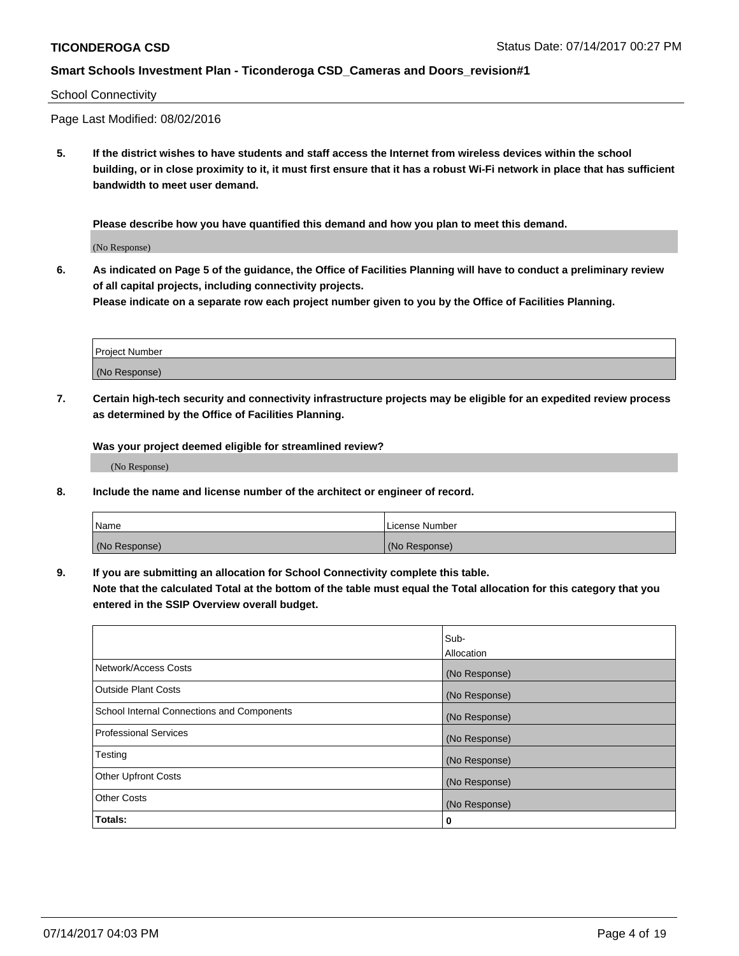#### School Connectivity

Page Last Modified: 08/02/2016

**5. If the district wishes to have students and staff access the Internet from wireless devices within the school building, or in close proximity to it, it must first ensure that it has a robust Wi-Fi network in place that has sufficient bandwidth to meet user demand.**

**Please describe how you have quantified this demand and how you plan to meet this demand.**

(No Response)

**6. As indicated on Page 5 of the guidance, the Office of Facilities Planning will have to conduct a preliminary review of all capital projects, including connectivity projects.**

**Please indicate on a separate row each project number given to you by the Office of Facilities Planning.**

| Project Number |  |
|----------------|--|
|                |  |
| (No Response)  |  |

**7. Certain high-tech security and connectivity infrastructure projects may be eligible for an expedited review process as determined by the Office of Facilities Planning.**

**Was your project deemed eligible for streamlined review?**

(No Response)

**8. Include the name and license number of the architect or engineer of record.**

| Name          | License Number |
|---------------|----------------|
| (No Response) | (No Response)  |

**9. If you are submitting an allocation for School Connectivity complete this table.**

**Note that the calculated Total at the bottom of the table must equal the Total allocation for this category that you entered in the SSIP Overview overall budget.** 

|                                            | Sub-          |
|--------------------------------------------|---------------|
|                                            | Allocation    |
| Network/Access Costs                       | (No Response) |
| <b>Outside Plant Costs</b>                 | (No Response) |
| School Internal Connections and Components | (No Response) |
| <b>Professional Services</b>               | (No Response) |
| Testing                                    | (No Response) |
| <b>Other Upfront Costs</b>                 | (No Response) |
| <b>Other Costs</b>                         | (No Response) |
| Totals:                                    | 0             |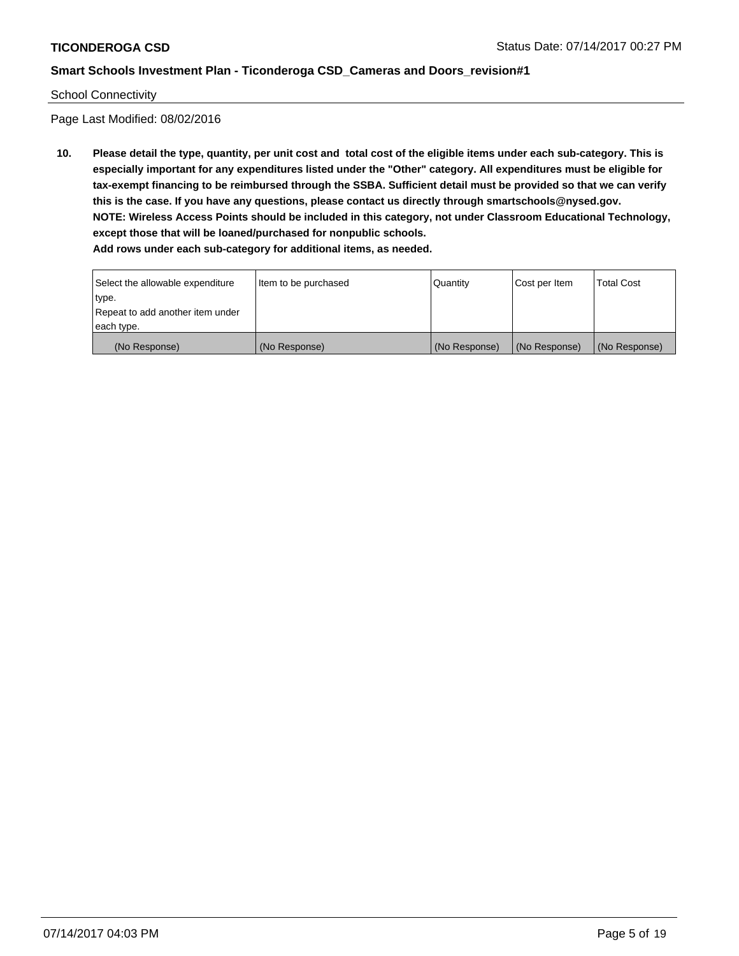#### School Connectivity

Page Last Modified: 08/02/2016

**10. Please detail the type, quantity, per unit cost and total cost of the eligible items under each sub-category. This is especially important for any expenditures listed under the "Other" category. All expenditures must be eligible for tax-exempt financing to be reimbursed through the SSBA. Sufficient detail must be provided so that we can verify this is the case. If you have any questions, please contact us directly through smartschools@nysed.gov. NOTE: Wireless Access Points should be included in this category, not under Classroom Educational Technology, except those that will be loaned/purchased for nonpublic schools. Add rows under each sub-category for additional items, as needed.**

Select the allowable expenditure type. Repeat to add another item under each type. Item to be purchased  $\sqrt{$  Quantity  $\sqrt{}$  Cost per Item  $\sqrt{}$  Total Cost (No Response) (No Response) (No Response) (No Response) (No Response)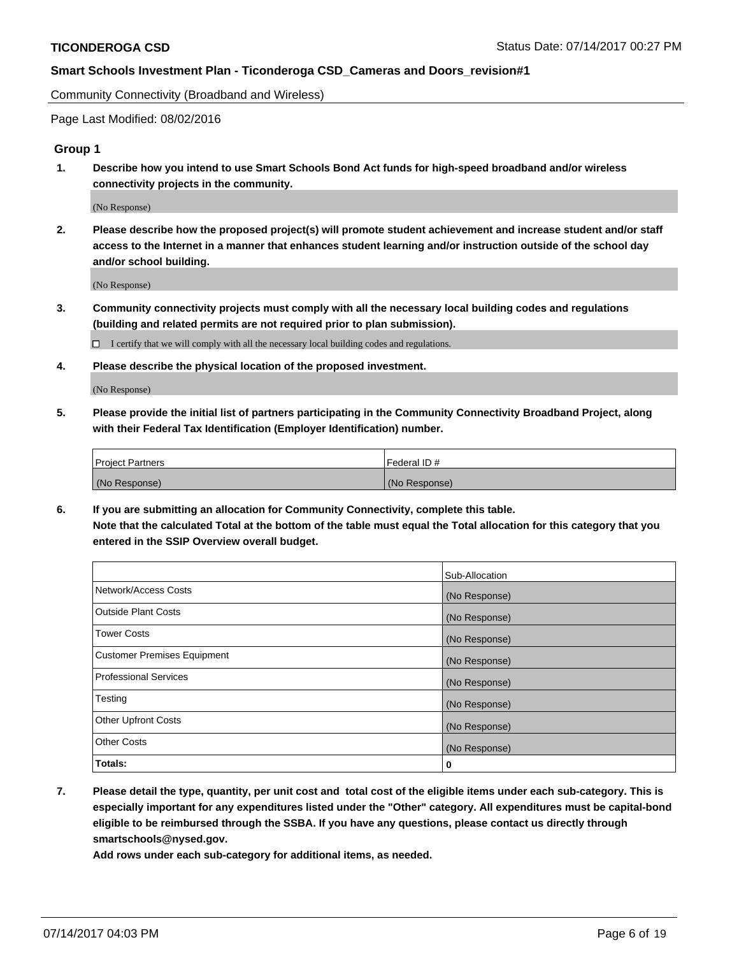Community Connectivity (Broadband and Wireless)

Page Last Modified: 08/02/2016

### **Group 1**

**1. Describe how you intend to use Smart Schools Bond Act funds for high-speed broadband and/or wireless connectivity projects in the community.**

(No Response)

**2. Please describe how the proposed project(s) will promote student achievement and increase student and/or staff access to the Internet in a manner that enhances student learning and/or instruction outside of the school day and/or school building.**

(No Response)

**3. Community connectivity projects must comply with all the necessary local building codes and regulations (building and related permits are not required prior to plan submission).**

 $\Box$  I certify that we will comply with all the necessary local building codes and regulations.

**4. Please describe the physical location of the proposed investment.**

(No Response)

**5. Please provide the initial list of partners participating in the Community Connectivity Broadband Project, along with their Federal Tax Identification (Employer Identification) number.**

| <b>Project Partners</b> | Federal ID#     |
|-------------------------|-----------------|
| (No Response)           | l (No Response) |

**6. If you are submitting an allocation for Community Connectivity, complete this table. Note that the calculated Total at the bottom of the table must equal the Total allocation for this category that you entered in the SSIP Overview overall budget.**

|                                    | Sub-Allocation |
|------------------------------------|----------------|
| Network/Access Costs               | (No Response)  |
| Outside Plant Costs                | (No Response)  |
| <b>Tower Costs</b>                 | (No Response)  |
| <b>Customer Premises Equipment</b> | (No Response)  |
| <b>Professional Services</b>       | (No Response)  |
| Testing                            | (No Response)  |
| <b>Other Upfront Costs</b>         | (No Response)  |
| <b>Other Costs</b>                 | (No Response)  |
| Totals:                            | 0              |

**7. Please detail the type, quantity, per unit cost and total cost of the eligible items under each sub-category. This is especially important for any expenditures listed under the "Other" category. All expenditures must be capital-bond eligible to be reimbursed through the SSBA. If you have any questions, please contact us directly through smartschools@nysed.gov.**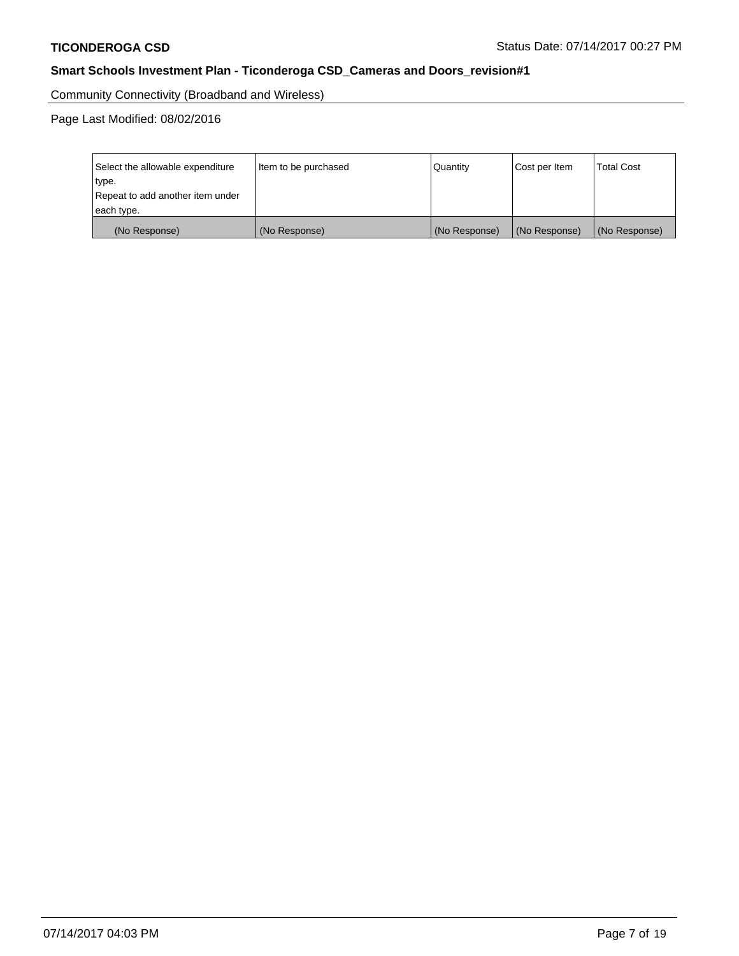Community Connectivity (Broadband and Wireless)

Page Last Modified: 08/02/2016

| Select the allowable expenditure<br>type.<br>Repeat to add another item under | Item to be purchased | Quantity      | Cost per Item | <b>Total Cost</b> |
|-------------------------------------------------------------------------------|----------------------|---------------|---------------|-------------------|
| each type.                                                                    |                      |               |               |                   |
| (No Response)                                                                 | (No Response)        | (No Response) | (No Response) | (No Response)     |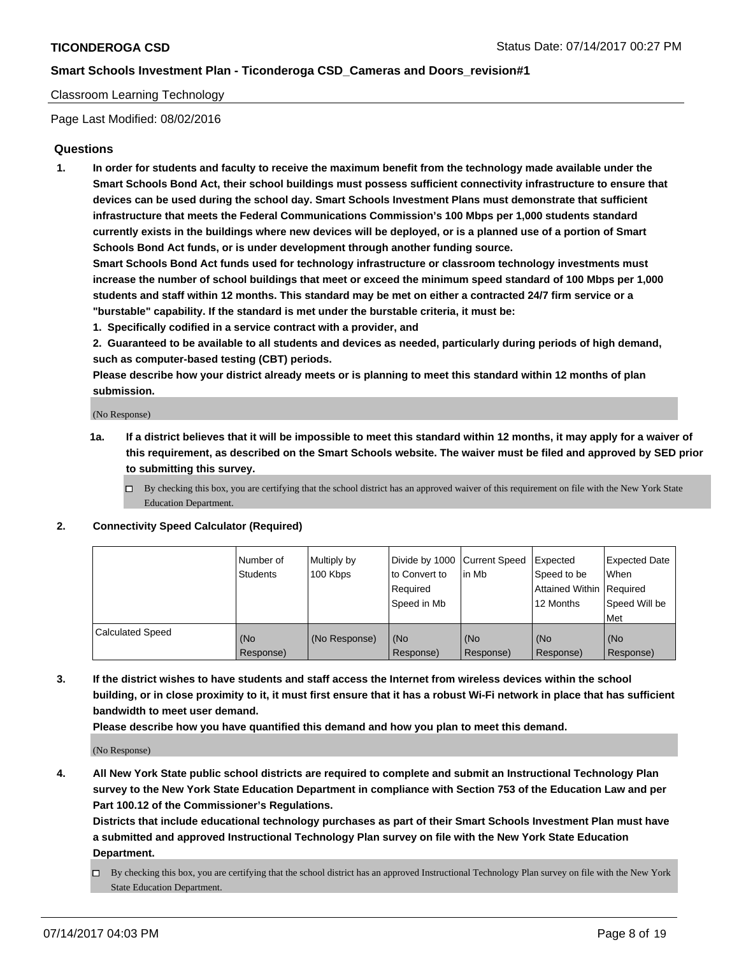#### Classroom Learning Technology

Page Last Modified: 08/02/2016

#### **Questions**

**1. In order for students and faculty to receive the maximum benefit from the technology made available under the Smart Schools Bond Act, their school buildings must possess sufficient connectivity infrastructure to ensure that devices can be used during the school day. Smart Schools Investment Plans must demonstrate that sufficient infrastructure that meets the Federal Communications Commission's 100 Mbps per 1,000 students standard currently exists in the buildings where new devices will be deployed, or is a planned use of a portion of Smart Schools Bond Act funds, or is under development through another funding source.**

**Smart Schools Bond Act funds used for technology infrastructure or classroom technology investments must increase the number of school buildings that meet or exceed the minimum speed standard of 100 Mbps per 1,000 students and staff within 12 months. This standard may be met on either a contracted 24/7 firm service or a "burstable" capability. If the standard is met under the burstable criteria, it must be:**

- **1. Specifically codified in a service contract with a provider, and**
- **2. Guaranteed to be available to all students and devices as needed, particularly during periods of high demand, such as computer-based testing (CBT) periods.**

**Please describe how your district already meets or is planning to meet this standard within 12 months of plan submission.**

(No Response)

- **1a. If a district believes that it will be impossible to meet this standard within 12 months, it may apply for a waiver of this requirement, as described on the Smart Schools website. The waiver must be filed and approved by SED prior to submitting this survey.**
	- $\Box$  By checking this box, you are certifying that the school district has an approved waiver of this requirement on file with the New York State Education Department.

#### **2. Connectivity Speed Calculator (Required)**

|                         | l Number of<br>Students | Multiply by<br>100 Kbps | Divide by 1000   Current Speed<br>to Convert to<br>Required<br>Speed in Mb | lin Mb           | Expected<br>Speed to be<br>Attained Within Required<br>12 Months | <b>Expected Date</b><br>When<br>Speed Will be<br>Met |
|-------------------------|-------------------------|-------------------------|----------------------------------------------------------------------------|------------------|------------------------------------------------------------------|------------------------------------------------------|
| <b>Calculated Speed</b> | (No<br>Response)        | (No Response)           | (No<br>Response)                                                           | (No<br>Response) | (No<br>Response)                                                 | (No<br>Response)                                     |

**3. If the district wishes to have students and staff access the Internet from wireless devices within the school building, or in close proximity to it, it must first ensure that it has a robust Wi-Fi network in place that has sufficient bandwidth to meet user demand.**

**Please describe how you have quantified this demand and how you plan to meet this demand.**

(No Response)

**4. All New York State public school districts are required to complete and submit an Instructional Technology Plan survey to the New York State Education Department in compliance with Section 753 of the Education Law and per Part 100.12 of the Commissioner's Regulations.**

**Districts that include educational technology purchases as part of their Smart Schools Investment Plan must have a submitted and approved Instructional Technology Plan survey on file with the New York State Education Department.**

 $\Box$  By checking this box, you are certifying that the school district has an approved Instructional Technology Plan survey on file with the New York State Education Department.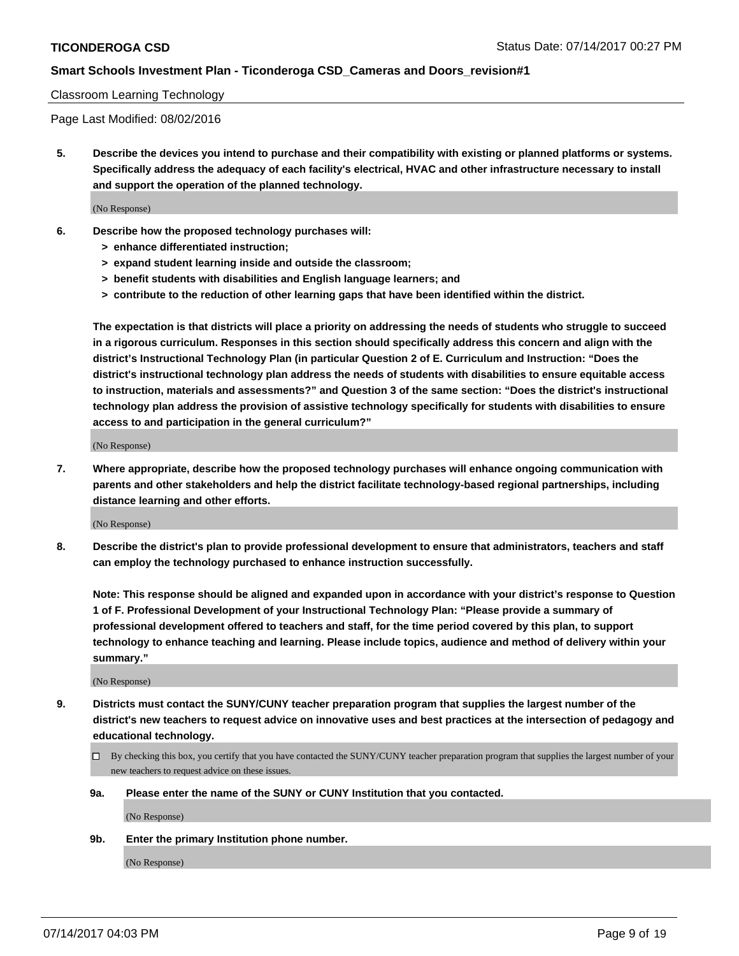#### Classroom Learning Technology

Page Last Modified: 08/02/2016

**5. Describe the devices you intend to purchase and their compatibility with existing or planned platforms or systems. Specifically address the adequacy of each facility's electrical, HVAC and other infrastructure necessary to install and support the operation of the planned technology.**

(No Response)

- **6. Describe how the proposed technology purchases will:**
	- **> enhance differentiated instruction;**
	- **> expand student learning inside and outside the classroom;**
	- **> benefit students with disabilities and English language learners; and**
	- **> contribute to the reduction of other learning gaps that have been identified within the district.**

**The expectation is that districts will place a priority on addressing the needs of students who struggle to succeed in a rigorous curriculum. Responses in this section should specifically address this concern and align with the district's Instructional Technology Plan (in particular Question 2 of E. Curriculum and Instruction: "Does the district's instructional technology plan address the needs of students with disabilities to ensure equitable access to instruction, materials and assessments?" and Question 3 of the same section: "Does the district's instructional technology plan address the provision of assistive technology specifically for students with disabilities to ensure access to and participation in the general curriculum?"**

(No Response)

**7. Where appropriate, describe how the proposed technology purchases will enhance ongoing communication with parents and other stakeholders and help the district facilitate technology-based regional partnerships, including distance learning and other efforts.**

(No Response)

**8. Describe the district's plan to provide professional development to ensure that administrators, teachers and staff can employ the technology purchased to enhance instruction successfully.**

**Note: This response should be aligned and expanded upon in accordance with your district's response to Question 1 of F. Professional Development of your Instructional Technology Plan: "Please provide a summary of professional development offered to teachers and staff, for the time period covered by this plan, to support technology to enhance teaching and learning. Please include topics, audience and method of delivery within your summary."**

(No Response)

- **9. Districts must contact the SUNY/CUNY teacher preparation program that supplies the largest number of the district's new teachers to request advice on innovative uses and best practices at the intersection of pedagogy and educational technology.**
	- By checking this box, you certify that you have contacted the SUNY/CUNY teacher preparation program that supplies the largest number of your new teachers to request advice on these issues.
	- **9a. Please enter the name of the SUNY or CUNY Institution that you contacted.**

(No Response)

**9b. Enter the primary Institution phone number.**

(No Response)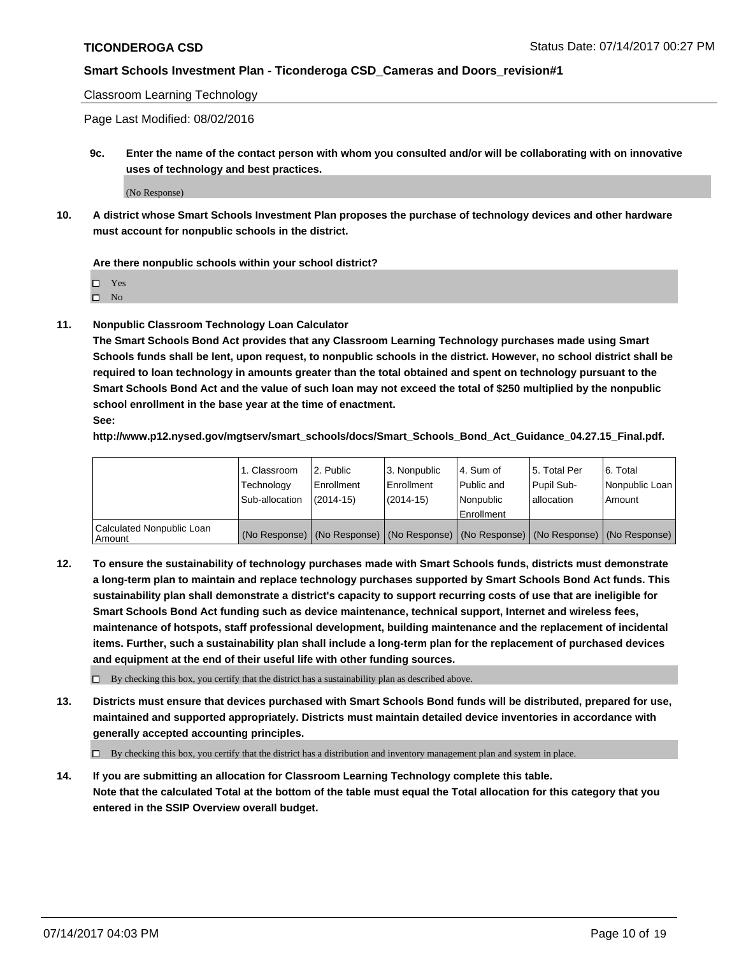Classroom Learning Technology

Page Last Modified: 08/02/2016

**9c. Enter the name of the contact person with whom you consulted and/or will be collaborating with on innovative uses of technology and best practices.**

(No Response)

**10. A district whose Smart Schools Investment Plan proposes the purchase of technology devices and other hardware must account for nonpublic schools in the district.**

**Are there nonpublic schools within your school district?**

Yes

 $\square$  No

**11. Nonpublic Classroom Technology Loan Calculator**

**The Smart Schools Bond Act provides that any Classroom Learning Technology purchases made using Smart Schools funds shall be lent, upon request, to nonpublic schools in the district. However, no school district shall be required to loan technology in amounts greater than the total obtained and spent on technology pursuant to the Smart Schools Bond Act and the value of such loan may not exceed the total of \$250 multiplied by the nonpublic school enrollment in the base year at the time of enactment.**

**See:**

**http://www.p12.nysed.gov/mgtserv/smart\_schools/docs/Smart\_Schools\_Bond\_Act\_Guidance\_04.27.15\_Final.pdf.**

|                                       | 1. Classroom   | 2. Public     | 3. Nonpublic | 14. Sum of  | 15. Total Per | l 6. Total                                                                                    |
|---------------------------------------|----------------|---------------|--------------|-------------|---------------|-----------------------------------------------------------------------------------------------|
|                                       | Technology     | Enrollment    | Enrollment   | Public and  | Pupil Sub-    | Nonpublic Loan                                                                                |
|                                       | Sub-allocation | $(2014 - 15)$ | (2014-15)    | l Nonpublic | allocation    | Amount                                                                                        |
|                                       |                |               |              | Enrollment  |               |                                                                                               |
| Calculated Nonpublic Loan<br>  Amount |                |               |              |             |               | (No Response)   (No Response)   (No Response)   (No Response)   (No Response)   (No Response) |

**12. To ensure the sustainability of technology purchases made with Smart Schools funds, districts must demonstrate a long-term plan to maintain and replace technology purchases supported by Smart Schools Bond Act funds. This sustainability plan shall demonstrate a district's capacity to support recurring costs of use that are ineligible for Smart Schools Bond Act funding such as device maintenance, technical support, Internet and wireless fees, maintenance of hotspots, staff professional development, building maintenance and the replacement of incidental items. Further, such a sustainability plan shall include a long-term plan for the replacement of purchased devices and equipment at the end of their useful life with other funding sources.**

 $\Box$  By checking this box, you certify that the district has a sustainability plan as described above.

**13. Districts must ensure that devices purchased with Smart Schools Bond funds will be distributed, prepared for use, maintained and supported appropriately. Districts must maintain detailed device inventories in accordance with generally accepted accounting principles.**

By checking this box, you certify that the district has a distribution and inventory management plan and system in place.

**14. If you are submitting an allocation for Classroom Learning Technology complete this table. Note that the calculated Total at the bottom of the table must equal the Total allocation for this category that you entered in the SSIP Overview overall budget.**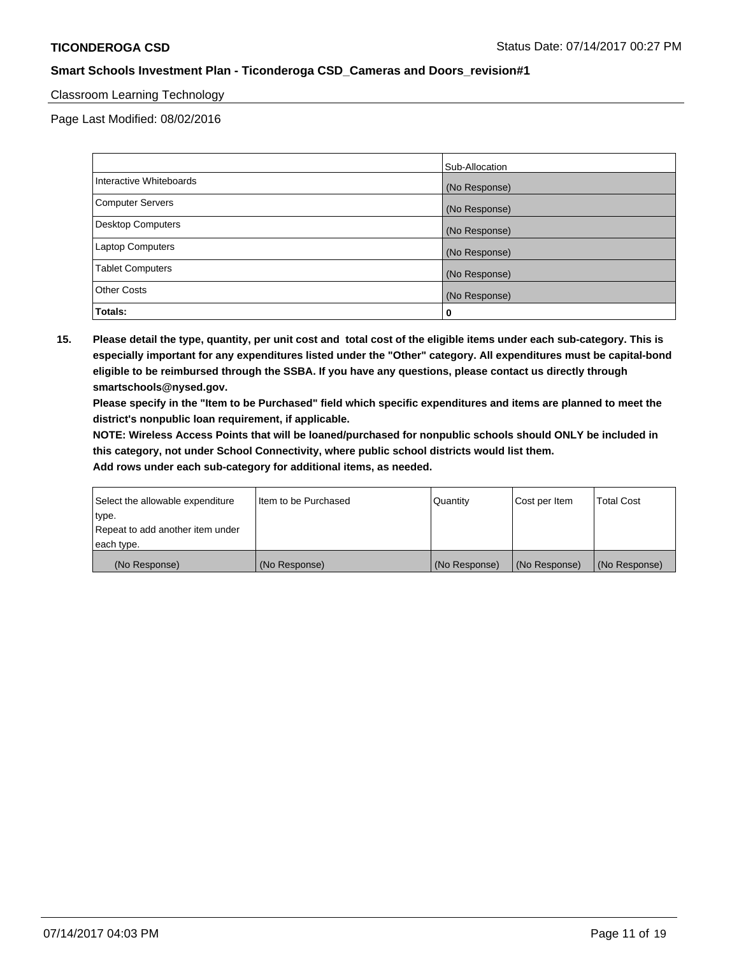#### Classroom Learning Technology

Page Last Modified: 08/02/2016

|                         | Sub-Allocation |
|-------------------------|----------------|
| Interactive Whiteboards | (No Response)  |
| Computer Servers        | (No Response)  |
| Desktop Computers       | (No Response)  |
| Laptop Computers        | (No Response)  |
| <b>Tablet Computers</b> | (No Response)  |
| <b>Other Costs</b>      | (No Response)  |
| Totals:                 | 0              |

**15. Please detail the type, quantity, per unit cost and total cost of the eligible items under each sub-category. This is especially important for any expenditures listed under the "Other" category. All expenditures must be capital-bond eligible to be reimbursed through the SSBA. If you have any questions, please contact us directly through smartschools@nysed.gov.**

**Please specify in the "Item to be Purchased" field which specific expenditures and items are planned to meet the district's nonpublic loan requirement, if applicable.**

**NOTE: Wireless Access Points that will be loaned/purchased for nonpublic schools should ONLY be included in this category, not under School Connectivity, where public school districts would list them.**

| Select the allowable expenditure<br>∣type. | Iltem to be Purchased | Quantity      | Cost per Item | <b>Total Cost</b> |
|--------------------------------------------|-----------------------|---------------|---------------|-------------------|
| Repeat to add another item under           |                       |               |               |                   |
| each type.                                 |                       |               |               |                   |
| (No Response)                              | (No Response)         | (No Response) | (No Response) | (No Response)     |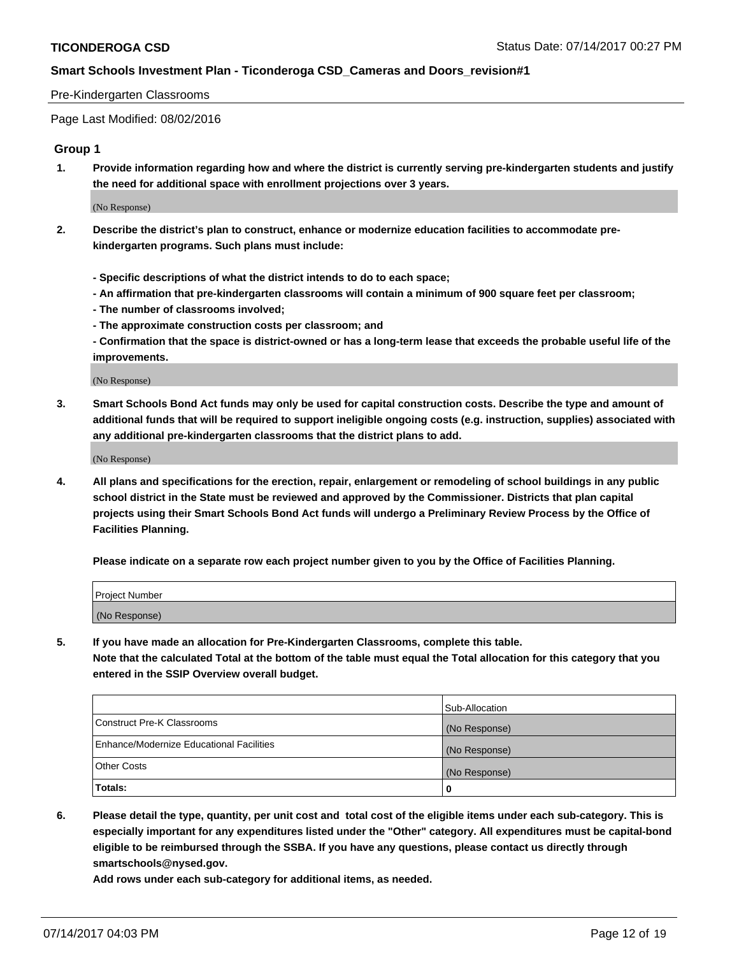#### Pre-Kindergarten Classrooms

Page Last Modified: 08/02/2016

### **Group 1**

**1. Provide information regarding how and where the district is currently serving pre-kindergarten students and justify the need for additional space with enrollment projections over 3 years.**

(No Response)

- **2. Describe the district's plan to construct, enhance or modernize education facilities to accommodate prekindergarten programs. Such plans must include:**
	- **Specific descriptions of what the district intends to do to each space;**
	- **An affirmation that pre-kindergarten classrooms will contain a minimum of 900 square feet per classroom;**
	- **The number of classrooms involved;**
	- **The approximate construction costs per classroom; and**
	- **Confirmation that the space is district-owned or has a long-term lease that exceeds the probable useful life of the improvements.**

(No Response)

**3. Smart Schools Bond Act funds may only be used for capital construction costs. Describe the type and amount of additional funds that will be required to support ineligible ongoing costs (e.g. instruction, supplies) associated with any additional pre-kindergarten classrooms that the district plans to add.**

(No Response)

**4. All plans and specifications for the erection, repair, enlargement or remodeling of school buildings in any public school district in the State must be reviewed and approved by the Commissioner. Districts that plan capital projects using their Smart Schools Bond Act funds will undergo a Preliminary Review Process by the Office of Facilities Planning.**

**Please indicate on a separate row each project number given to you by the Office of Facilities Planning.**

| Project Number |  |
|----------------|--|
| (No Response)  |  |

**5. If you have made an allocation for Pre-Kindergarten Classrooms, complete this table. Note that the calculated Total at the bottom of the table must equal the Total allocation for this category that you entered in the SSIP Overview overall budget.**

|                                          | Sub-Allocation |
|------------------------------------------|----------------|
| Construct Pre-K Classrooms               | (No Response)  |
| Enhance/Modernize Educational Facilities | (No Response)  |
| <b>Other Costs</b>                       | (No Response)  |
| Totals:                                  |                |

**6. Please detail the type, quantity, per unit cost and total cost of the eligible items under each sub-category. This is especially important for any expenditures listed under the "Other" category. All expenditures must be capital-bond eligible to be reimbursed through the SSBA. If you have any questions, please contact us directly through smartschools@nysed.gov.**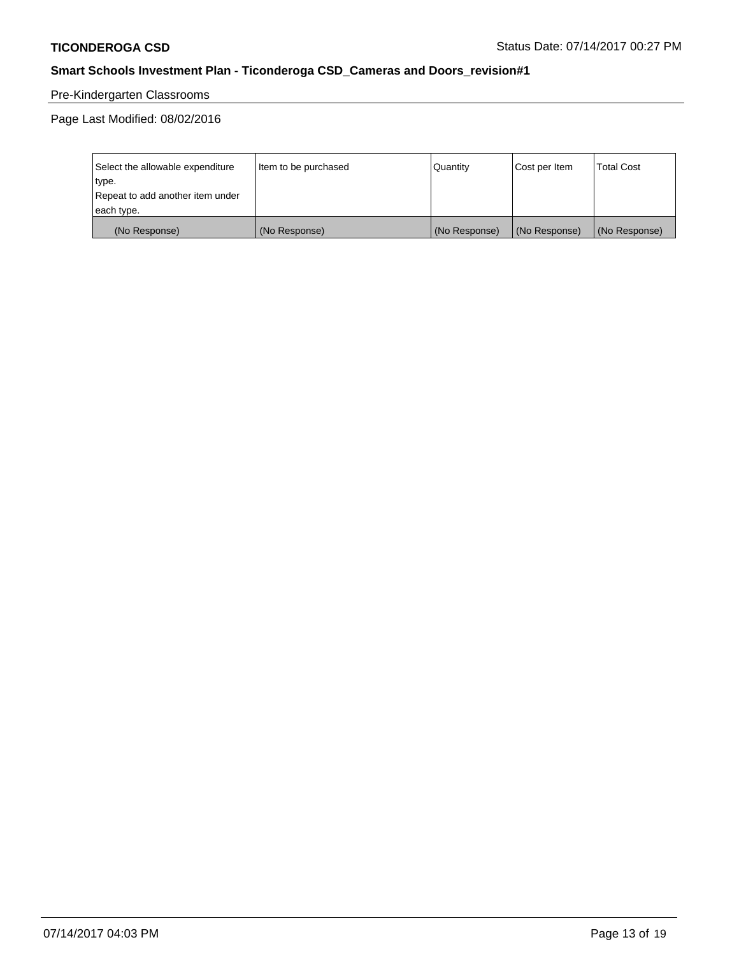# Pre-Kindergarten Classrooms

Page Last Modified: 08/02/2016

| Select the allowable expenditure | Item to be purchased | Quantity      | Cost per Item | <b>Total Cost</b> |
|----------------------------------|----------------------|---------------|---------------|-------------------|
| type.                            |                      |               |               |                   |
| Repeat to add another item under |                      |               |               |                   |
| each type.                       |                      |               |               |                   |
| (No Response)                    | (No Response)        | (No Response) | (No Response) | (No Response)     |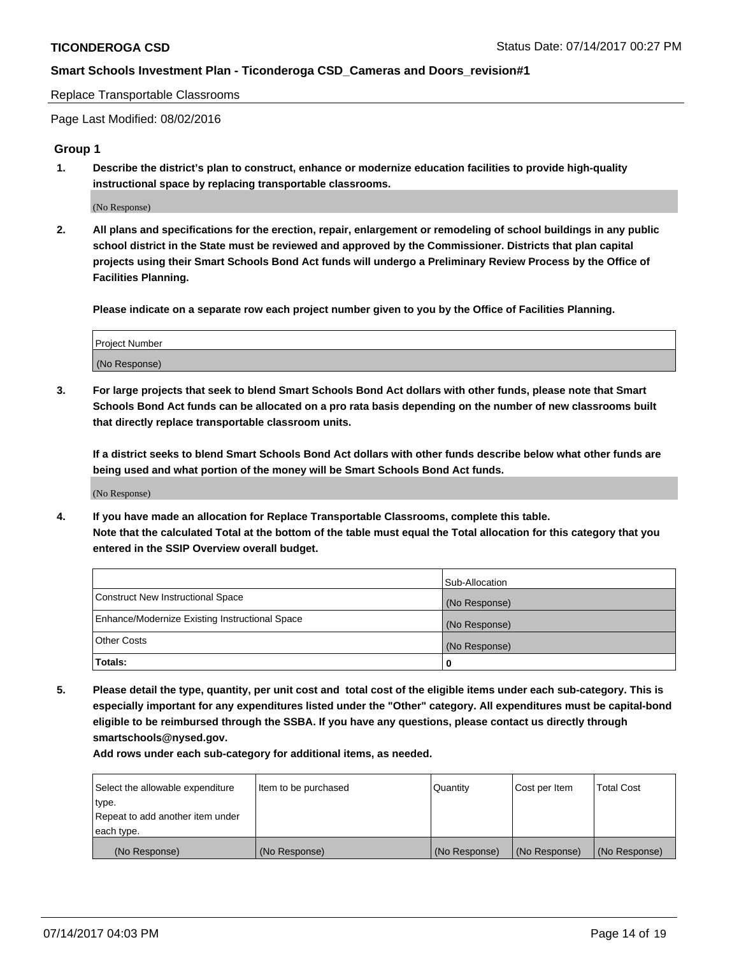Replace Transportable Classrooms

Page Last Modified: 08/02/2016

### **Group 1**

**1. Describe the district's plan to construct, enhance or modernize education facilities to provide high-quality instructional space by replacing transportable classrooms.**

(No Response)

**2. All plans and specifications for the erection, repair, enlargement or remodeling of school buildings in any public school district in the State must be reviewed and approved by the Commissioner. Districts that plan capital projects using their Smart Schools Bond Act funds will undergo a Preliminary Review Process by the Office of Facilities Planning.**

**Please indicate on a separate row each project number given to you by the Office of Facilities Planning.**

| Project Number |  |
|----------------|--|
| (No Response)  |  |

**3. For large projects that seek to blend Smart Schools Bond Act dollars with other funds, please note that Smart Schools Bond Act funds can be allocated on a pro rata basis depending on the number of new classrooms built that directly replace transportable classroom units.**

**If a district seeks to blend Smart Schools Bond Act dollars with other funds describe below what other funds are being used and what portion of the money will be Smart Schools Bond Act funds.**

(No Response)

**4. If you have made an allocation for Replace Transportable Classrooms, complete this table. Note that the calculated Total at the bottom of the table must equal the Total allocation for this category that you entered in the SSIP Overview overall budget.**

|                                                | Sub-Allocation |
|------------------------------------------------|----------------|
| Construct New Instructional Space              | (No Response)  |
| Enhance/Modernize Existing Instructional Space | (No Response)  |
| Other Costs                                    | (No Response)  |
| Totals:                                        | 0              |

**5. Please detail the type, quantity, per unit cost and total cost of the eligible items under each sub-category. This is especially important for any expenditures listed under the "Other" category. All expenditures must be capital-bond eligible to be reimbursed through the SSBA. If you have any questions, please contact us directly through smartschools@nysed.gov.**

| Select the allowable expenditure | Item to be purchased | Quantity      | Cost per Item | <b>Total Cost</b> |
|----------------------------------|----------------------|---------------|---------------|-------------------|
| type.                            |                      |               |               |                   |
| Repeat to add another item under |                      |               |               |                   |
| each type.                       |                      |               |               |                   |
| (No Response)                    | (No Response)        | (No Response) | (No Response) | (No Response)     |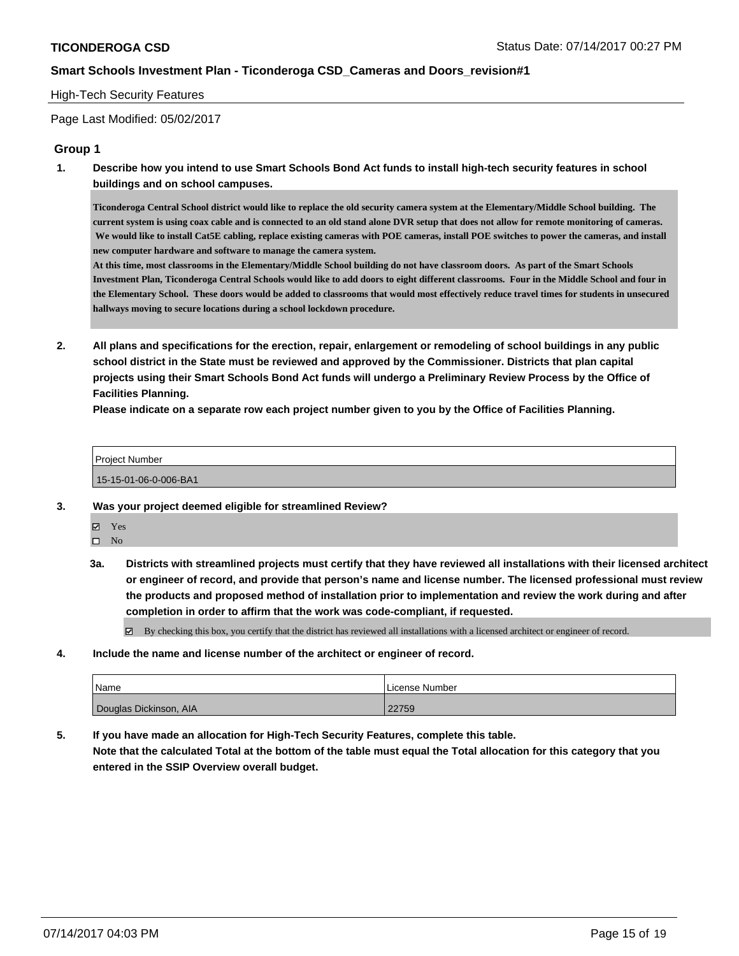#### High-Tech Security Features

Page Last Modified: 05/02/2017

#### **Group 1**

**1. Describe how you intend to use Smart Schools Bond Act funds to install high-tech security features in school buildings and on school campuses.**

**Ticonderoga Central School district would like to replace the old security camera system at the Elementary/Middle School building. The current system is using coax cable and is connected to an old stand alone DVR setup that does not allow for remote monitoring of cameras. We would like to install Cat5E cabling, replace existing cameras with POE cameras, install POE switches to power the cameras, and install new computer hardware and software to manage the camera system.**

**At this time, most classrooms in the Elementary/Middle School building do not have classroom doors. As part of the Smart Schools Investment Plan, Ticonderoga Central Schools would like to add doors to eight different classrooms. Four in the Middle School and four in the Elementary School. These doors would be added to classrooms that would most effectively reduce travel times for students in unsecured hallways moving to secure locations during a school lockdown procedure.**

**2. All plans and specifications for the erection, repair, enlargement or remodeling of school buildings in any public school district in the State must be reviewed and approved by the Commissioner. Districts that plan capital projects using their Smart Schools Bond Act funds will undergo a Preliminary Review Process by the Office of Facilities Planning.** 

**Please indicate on a separate row each project number given to you by the Office of Facilities Planning.**

| Project Number        |  |
|-----------------------|--|
| 15-15-01-06-0-006-BA1 |  |

- **3. Was your project deemed eligible for streamlined Review?**
	- Yes
	- $\square$  No
	- **3a. Districts with streamlined projects must certify that they have reviewed all installations with their licensed architect or engineer of record, and provide that person's name and license number. The licensed professional must review the products and proposed method of installation prior to implementation and review the work during and after completion in order to affirm that the work was code-compliant, if requested.**

By checking this box, you certify that the district has reviewed all installations with a licensed architect or engineer of record.

**4. Include the name and license number of the architect or engineer of record.**

| Name                   | License Number |
|------------------------|----------------|
| Douglas Dickinson, AIA | 22759          |

**5. If you have made an allocation for High-Tech Security Features, complete this table. Note that the calculated Total at the bottom of the table must equal the Total allocation for this category that you entered in the SSIP Overview overall budget.**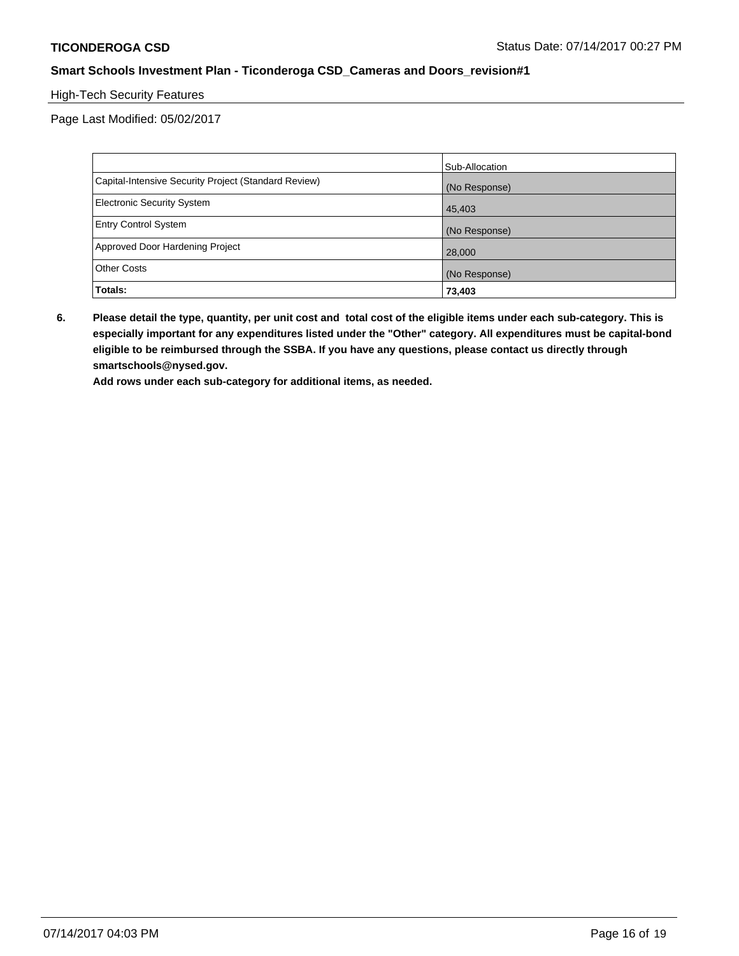# High-Tech Security Features

Page Last Modified: 05/02/2017

|                                                      | Sub-Allocation |
|------------------------------------------------------|----------------|
| Capital-Intensive Security Project (Standard Review) | (No Response)  |
| <b>Electronic Security System</b>                    | 45,403         |
| <b>Entry Control System</b>                          | (No Response)  |
| Approved Door Hardening Project                      | 28,000         |
| <b>Other Costs</b>                                   | (No Response)  |
| Totals:                                              | 73,403         |

**6. Please detail the type, quantity, per unit cost and total cost of the eligible items under each sub-category. This is especially important for any expenditures listed under the "Other" category. All expenditures must be capital-bond eligible to be reimbursed through the SSBA. If you have any questions, please contact us directly through smartschools@nysed.gov.**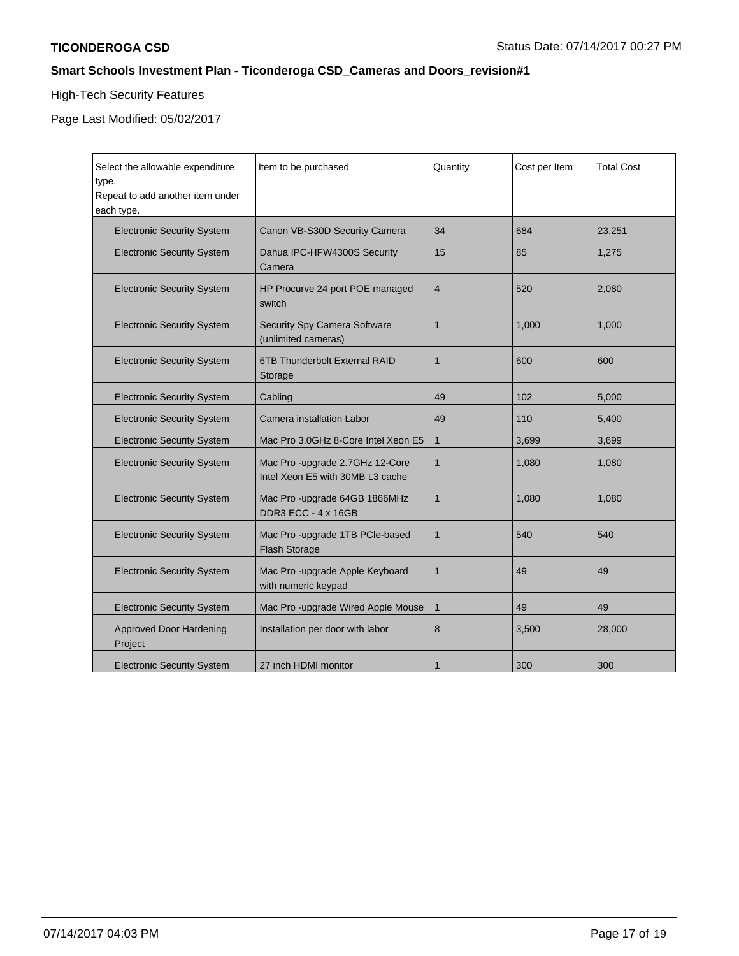# High-Tech Security Features

Page Last Modified: 05/02/2017

| Select the allowable expenditure<br>type.<br>Repeat to add another item under<br>each type. | Item to be purchased                                                | Quantity       | Cost per Item | <b>Total Cost</b> |
|---------------------------------------------------------------------------------------------|---------------------------------------------------------------------|----------------|---------------|-------------------|
| <b>Electronic Security System</b>                                                           | Canon VB-S30D Security Camera                                       | 34             | 684           | 23,251            |
| <b>Electronic Security System</b>                                                           | Dahua IPC-HFW4300S Security<br>Camera                               | 15             | 85            | 1,275             |
| <b>Electronic Security System</b>                                                           | HP Procurve 24 port POE managed<br>switch                           | $\overline{4}$ | 520           | 2,080             |
| <b>Electronic Security System</b>                                                           | Security Spy Camera Software<br>(unlimited cameras)                 | 1              | 1.000         | 1.000             |
| <b>Electronic Security System</b>                                                           | 6TB Thunderbolt External RAID<br>Storage                            | $\mathbf{1}$   | 600           | 600               |
| <b>Electronic Security System</b>                                                           | Cabling                                                             | 49             | 102           | 5,000             |
| <b>Electronic Security System</b>                                                           | Camera installation Labor                                           | 49             | 110           | 5,400             |
| <b>Electronic Security System</b>                                                           | Mac Pro 3.0GHz 8-Core Intel Xeon E5                                 | $\mathbf 1$    | 3,699         | 3,699             |
| <b>Electronic Security System</b>                                                           | Mac Pro -upgrade 2.7GHz 12-Core<br>Intel Xeon E5 with 30MB L3 cache | $\mathbf 1$    | 1,080         | 1,080             |
| <b>Electronic Security System</b>                                                           | Mac Pro -upgrade 64GB 1866MHz<br>DDR3 ECC - 4 x 16GB                | $\mathbf{1}$   | 1,080         | 1,080             |
| <b>Electronic Security System</b>                                                           | Mac Pro -upgrade 1TB PCIe-based<br><b>Flash Storage</b>             | $\mathbf{1}$   | 540           | 540               |
| <b>Electronic Security System</b>                                                           | Mac Pro - upgrade Apple Keyboard<br>with numeric keypad             | $\mathbf{1}$   | 49            | 49                |
| <b>Electronic Security System</b>                                                           | Mac Pro -upgrade Wired Apple Mouse                                  | $\mathbf 1$    | 49            | 49                |
| <b>Approved Door Hardening</b><br>Project                                                   | Installation per door with labor                                    | 8              | 3,500         | 28,000            |
| <b>Electronic Security System</b>                                                           | 27 inch HDMI monitor                                                |                | 300           | 300               |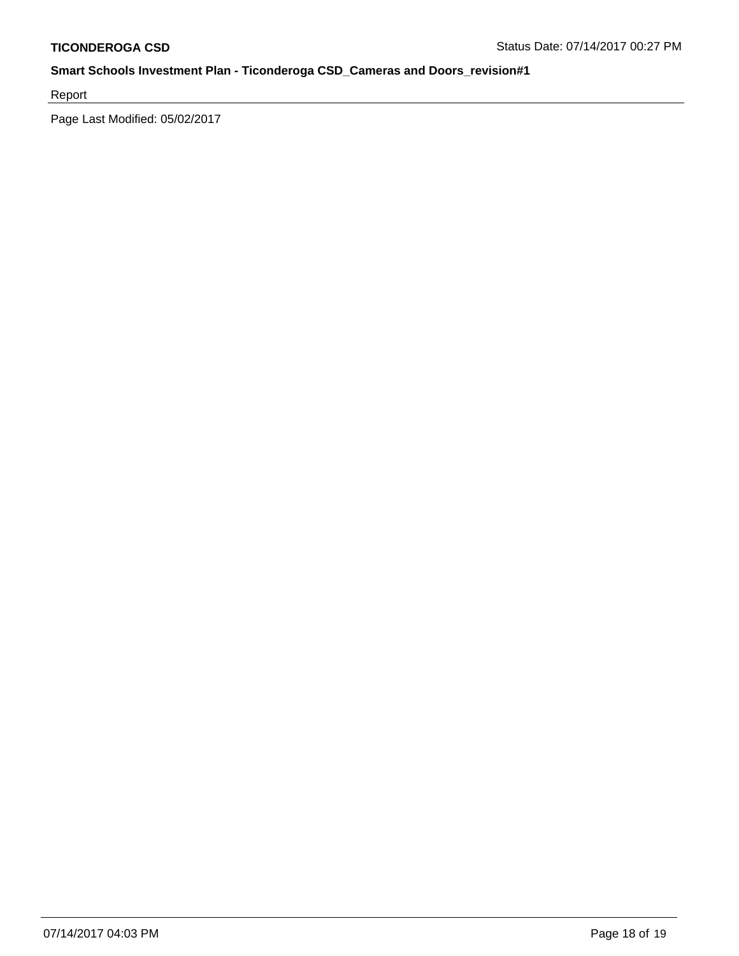Report

Page Last Modified: 05/02/2017